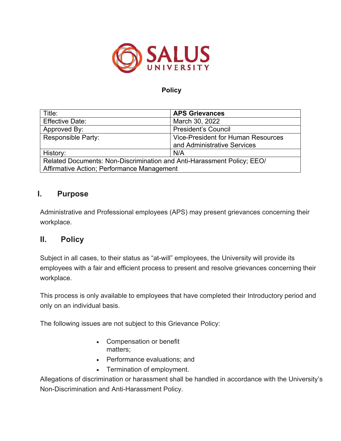

### **Policy**

| Title:                                                                 | <b>APS Grievances</b>                     |
|------------------------------------------------------------------------|-------------------------------------------|
| <b>Effective Date:</b>                                                 | March 30, 2022                            |
| Approved By:                                                           | <b>President's Council</b>                |
| <b>Responsible Party:</b>                                              | <b>Vice-President for Human Resources</b> |
|                                                                        | and Administrative Services               |
| History:                                                               | N/A                                       |
| Related Documents: Non-Discrimination and Anti-Harassment Policy; EEO/ |                                           |
| Affirmative Action; Performance Management                             |                                           |

# **I. Purpose**

Administrative and Professional employees (APS) may present grievances concerning their workplace.

### **II. Policy**

Subject in all cases, to their status as "at-will" employees, the University will provide its employees with a fair and efficient process to present and resolve grievances concerning their workplace.

This process is only available to employees that have completed their Introductory period and only on an individual basis.

The following issues are not subject to this Grievance Policy:

- Compensation or benefit matters;
- Performance evaluations; and
- Termination of employment.

Allegations of discrimination or harassment shall be handled in accordance with the University's Non-Discrimination and Anti-Harassment Policy.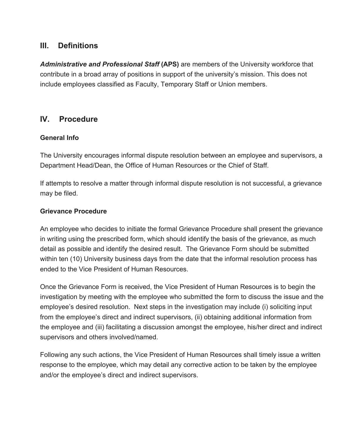# **III. Definitions**

*Administrative and Professional Staff* **(APS)** are members of the University workforce that contribute in a broad array of positions in support of the university's mission. This does not include employees classified as Faculty, Temporary Staff or Union members.

### **IV. Procedure**

### **General Info**

The University encourages informal dispute resolution between an employee and supervisors, a Department Head/Dean, the Office of Human Resources or the Chief of Staff.

If attempts to resolve a matter through informal dispute resolution is not successful, a grievance may be filed.

### **Grievance Procedure**

An employee who decides to initiate the formal Grievance Procedure shall present the grievance in writing using the prescribed form, which should identify the basis of the grievance, as much detail as possible and identify the desired result. The Grievance Form should be submitted within ten (10) University business days from the date that the informal resolution process has ended to the Vice President of Human Resources.

Once the Grievance Form is received, the Vice President of Human Resources is to begin the investigation by meeting with the employee who submitted the form to discuss the issue and the employee's desired resolution. Next steps in the investigation may include (i) soliciting input from the employee's direct and indirect supervisors, (ii) obtaining additional information from the employee and (iii) facilitating a discussion amongst the employee, his/her direct and indirect supervisors and others involved/named.

Following any such actions, the Vice President of Human Resources shall timely issue a written response to the employee, which may detail any corrective action to be taken by the employee and/or the employee's direct and indirect supervisors.